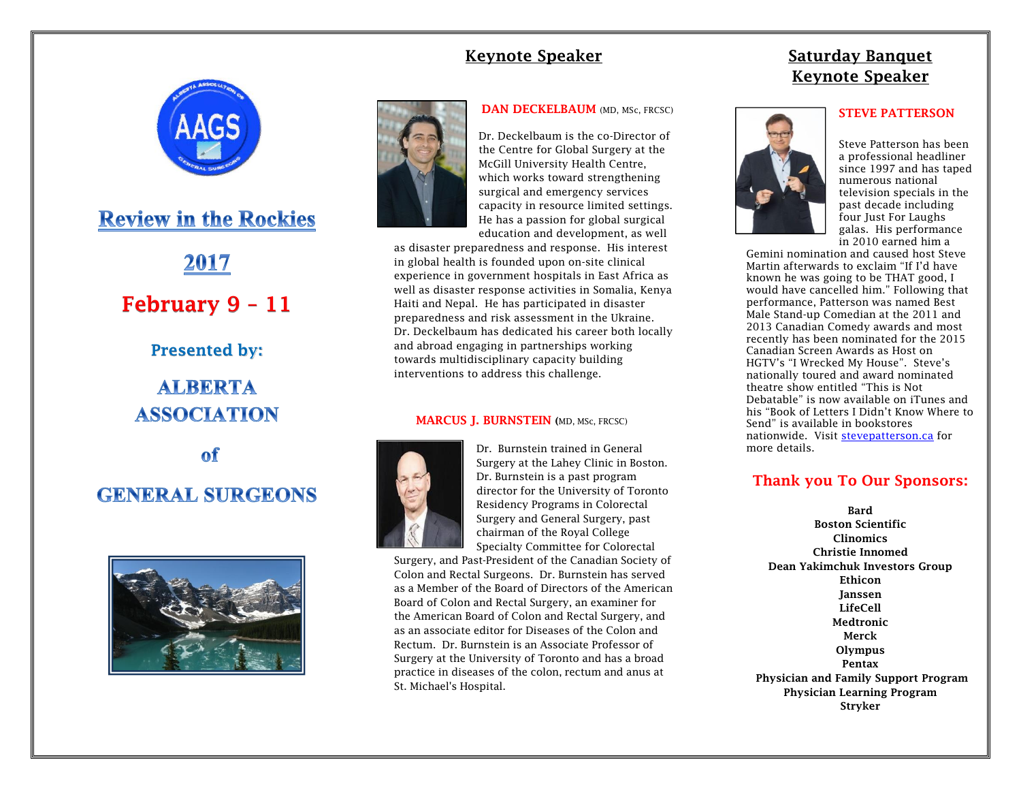## **Keynote Speaker**



**Review in the Rockies** 

2017 **February 9 – 11 Presented by : ALBERTA ASSOCIATION** 

 $of$ **GENERAL SURGEONS** 





**DAN DECKELBAUM** (MD, MSc, FRCSC)

Dr. Deckelbaum is the co -Director of the Centre for Global Surgery at the McGill University Health Centre, which works toward strengthening surgical and emergency services capacity in resource limited settings. He has a passion for global surgical education and development, as well

as disaster preparedness and response. His interest in global health is founded upon on -site clinical experience in government hospitals in East Africa as well as disaster response activities in Somalia, Kenya Haiti and Nepal. He has participated in disaster preparedness and risk assessment in the Ukraine. Dr. Deckelbaum has dedicated his career both locally and abroad engaging in partnerships working towards multidisciplinary capacity building interventions to address this challenge.

#### **MARCUS J. BURNSTEIN (**MD, MSc, FRCS C )



Dr. Burnstein trained in General Surgery at the Lahey Clinic in Boston. Dr. Burnstein is a past program director for the University of Toronto Residency Programs in Colorectal Surgery and General Surgery, past chairman of the Royal College Specialty Committee for Colorectal

Surgery, and Past -President of the Canadian Society of Colon and Rectal Surgeons. Dr. Burnstein has served as a Member of the Board of Directors of the American Board of Colon and Rectal Surgery, an examiner for the American Board of Colon and Rectal Surgery, and as an associate editor for Diseases of the Colon and Rectum. Dr. Burnstein is an Associate Professor of Surgery at the University of Toronto and has a broad practice in diseases of the colon, rectum and anus at St. Michael's Hospital.

# **Saturday Banquet Keynote Speaker**

#### **STEVE PATTERSON**



Steve Patterson has been a professional headliner since 1997 and has taped numerous national television specials in the past decade including four Just For Laughs galas. His performance in 2010 earned him a

Gemini nomination and caused host Steve Martin afterwards to exclaim "If I'd have known he was going to be THAT good, I would have cancelled him." Following that performance, Patterson was named Best Male Stand -up Comedian at the 2011 and 2013 Canadian Comedy awards and most recently has been nominated for the 2015 Canadian Screen Awards as Host on HGTV's "I Wrecked My House". Steve's nationally toured and award nominated theatre show entitled "This is Not Debatable" is now available on iTunes and his "Book of Letters I Didn't Know Where to Send" is available in bookstores nationwide. Visit [stevepatterson.ca](http://stevepatterson.ca/) for more details.

## **Thank you To Our Sponsors :**

**Bard Boston Scientific Clinomics Christie Innomed Dean Yakimchuk Investors Group Ethicon Janssen LifeCell Medtronic Merck Olympus Pentax Physician and Family Support Program Physician Learning Program Stryker**